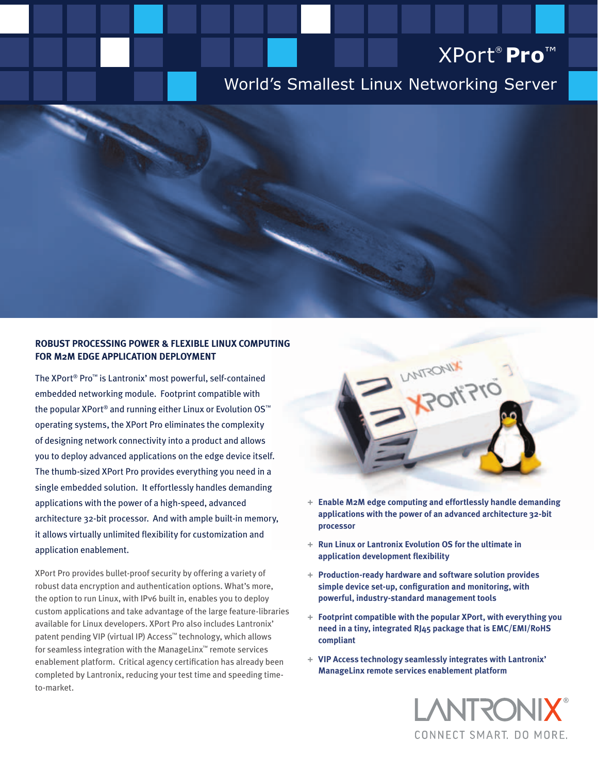# XPort® **Pro**™

# World's Smallest Linux Networking Server

### **Robust Processing Power & Flexible Linux Computing for M2M Edge Application Deployment**

The XPort® Pro™ is Lantronix' most powerful, self-contained embedded networking module. Footprint compatible with the popular XPort® and running either Linux or Evolution OS™ operating systems, the XPort Pro eliminates the complexity of designing network connectivity into a product and allows you to deploy advanced applications on the edge device itself. The thumb-sized XPort Pro provides everything you need in a single embedded solution. It effortlessly handles demanding applications with the power of a high-speed, advanced architecture 32-bit processor. And with ample built-in memory, it allows virtually unlimited flexibility for customization and application enablement.

XPort Pro provides bullet-proof security by offering a variety of robust data encryption and authentication options. What's more, the option to run Linux, with IPv6 built in, enables you to deploy custom applications and take advantage of the large feature-libraries available for Linux developers. XPort Pro also includes Lantronix' patent pending VIP (virtual IP) Access™ technology, which allows for seamless integration with the ManageLinx™ remote services enablement platform. Critical agency certification has already been completed by Lantronix, reducing your test time and speeding timeto-market.



- **+ Enable M2M edge computing and effortlessly handle demanding applications with the power of an advanced architecture 32-bit processor**
- **+ Run Linux or Lantronix Evolution OS for the ultimate in application development flexibility**
- **+ Production-ready hardware and software solution provides simple device set-up, configuration and monitoring, with powerful, industry-standard management tools**
- **+ Footprint compatible with the popular XPort, with everything you need in a tiny, integrated RJ45 package that is EMC/EMI/RoHS compliant**
- **+ VIP Access technology seamlessly integrates with Lantronix' ManageLinx remote services enablement platform**

LANTRONI CONNECT SMART, DO MORE.